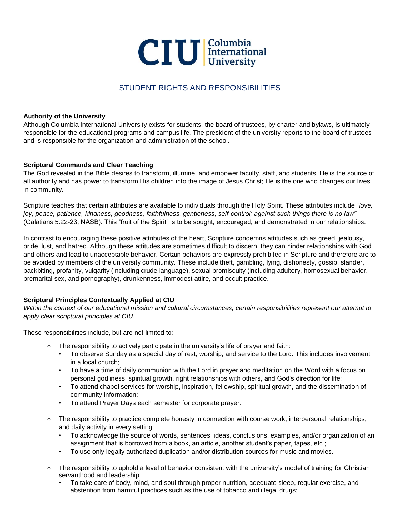

# STUDENT RIGHTS AND RESPONSIBILITIES

#### **Authority of the University**

Although Columbia International University exists for students, the board of trustees, by charter and bylaws, is ultimately responsible for the educational programs and campus life. The president of the university reports to the board of trustees and is responsible for the organization and administration of the school.

### **Scriptural Commands and Clear Teaching**

The God revealed in the Bible desires to transform, illumine, and empower faculty, staff, and students. He is the source of all authority and has power to transform His children into the image of Jesus Christ; He is the one who changes our lives in community.

Scripture teaches that certain attributes are available to individuals through the Holy Spirit. These attributes include *"love, joy, peace, patience, kindness, goodness, faithfulness, gentleness, self-control; against such things there is no law"* (Galatians 5:22-23; NASB). This "fruit of the Spirit" is to be sought, encouraged, and demonstrated in our relationships.

In contrast to encouraging these positive attributes of the heart, Scripture condemns attitudes such as greed, jealousy, pride, lust, and hatred. Although these attitudes are sometimes difficult to discern, they can hinder relationships with God and others and lead to unacceptable behavior. Certain behaviors are expressly prohibited in Scripture and therefore are to be avoided by members of the university community. These include theft, gambling, lying, dishonesty, gossip, slander, backbiting, profanity, vulgarity (including crude language), sexual promiscuity (including adultery, homosexual behavior, premarital sex, and pornography), drunkenness, immodest attire, and occult practice.

# **Scriptural Principles Contextually Applied at CIU**

*Within the context of our educational mission and cultural circumstances, certain responsibilities represent our attempt to apply clear scriptural principles at CIU.* 

These responsibilities include, but are not limited to:

- $\circ$  The responsibility to actively participate in the university's life of prayer and faith:
	- To observe Sunday as a special day of rest, worship, and service to the Lord. This includes involvement in a local church;
	- To have a time of daily communion with the Lord in prayer and meditation on the Word with a focus on personal godliness, spiritual growth, right relationships with others, and God's direction for life;
	- To attend chapel services for worship, inspiration, fellowship, spiritual growth, and the dissemination of community information;
	- To attend Prayer Days each semester for corporate prayer.
- The responsibility to practice complete honesty in connection with course work, interpersonal relationships, and daily activity in every setting:
	- To acknowledge the source of words, sentences, ideas, conclusions, examples, and/or organization of an assignment that is borrowed from a book, an article, another student's paper, tapes, etc.;
	- To use only legally authorized duplication and/or distribution sources for music and movies.
- $\circ$  The responsibility to uphold a level of behavior consistent with the university's model of training for Christian servanthood and leadership:
	- To take care of body, mind, and soul through proper nutrition, adequate sleep, regular exercise, and abstention from harmful practices such as the use of tobacco and illegal drugs;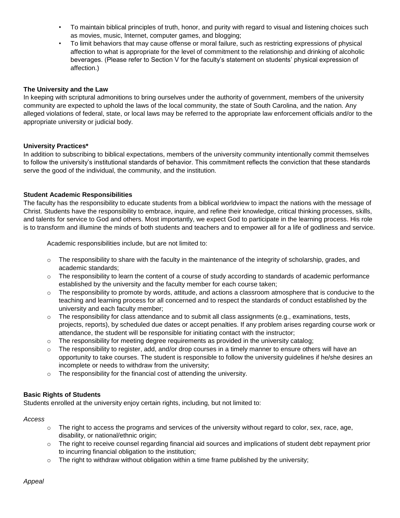- To maintain biblical principles of truth, honor, and purity with regard to visual and listening choices such as movies, music, Internet, computer games, and blogging;
- To limit behaviors that may cause offense or moral failure, such as restricting expressions of physical affection to what is appropriate for the level of commitment to the relationship and drinking of alcoholic beverages. (Please refer to Section V for the faculty's statement on students' physical expression of affection.)

# **The University and the Law**

In keeping with scriptural admonitions to bring ourselves under the authority of government, members of the university community are expected to uphold the laws of the local community, the state of South Carolina, and the nation. Any alleged violations of federal, state, or local laws may be referred to the appropriate law enforcement officials and/or to the appropriate university or judicial body.

# **University Practices\***

In addition to subscribing to biblical expectations, members of the university community intentionally commit themselves to follow the university's institutional standards of behavior. This commitment reflects the conviction that these standards serve the good of the individual, the community, and the institution.

# **Student Academic Responsibilities**

The faculty has the responsibility to educate students from a biblical worldview to impact the nations with the message of Christ. Students have the responsibility to embrace, inquire, and refine their knowledge, critical thinking processes, skills, and talents for service to God and others. Most importantly, we expect God to participate in the learning process. His role is to transform and illumine the minds of both students and teachers and to empower all for a life of godliness and service.

Academic responsibilities include, but are not limited to:

- $\circ$  The responsibility to share with the faculty in the maintenance of the integrity of scholarship, grades, and academic standards;
- $\circ$  The responsibility to learn the content of a course of study according to standards of academic performance established by the university and the faculty member for each course taken;
- $\circ$  The responsibility to promote by words, attitude, and actions a classroom atmosphere that is conducive to the teaching and learning process for all concerned and to respect the standards of conduct established by the university and each faculty member;
- $\circ$  The responsibility for class attendance and to submit all class assignments (e.g., examinations, tests, projects, reports), by scheduled due dates or accept penalties. If any problem arises regarding course work or attendance, the student will be responsible for initiating contact with the instructor;
- The responsibility for meeting degree requirements as provided in the university catalog;
- $\circ$  The responsibility to register, add, and/or drop courses in a timely manner to ensure others will have an opportunity to take courses. The student is responsible to follow the university guidelines if he/she desires an incomplete or needs to withdraw from the university;
- o The responsibility for the financial cost of attending the university.

# **Basic Rights of Students**

Students enrolled at the university enjoy certain rights, including, but not limited to:

# *Access*

- $\circ$  The right to access the programs and services of the university without regard to color, sex, race, age, disability, or national/ethnic origin;
- $\circ$  The right to receive counsel regarding financial aid sources and implications of student debt repayment prior to incurring financial obligation to the institution;
- $\circ$  The right to withdraw without obligation within a time frame published by the university;